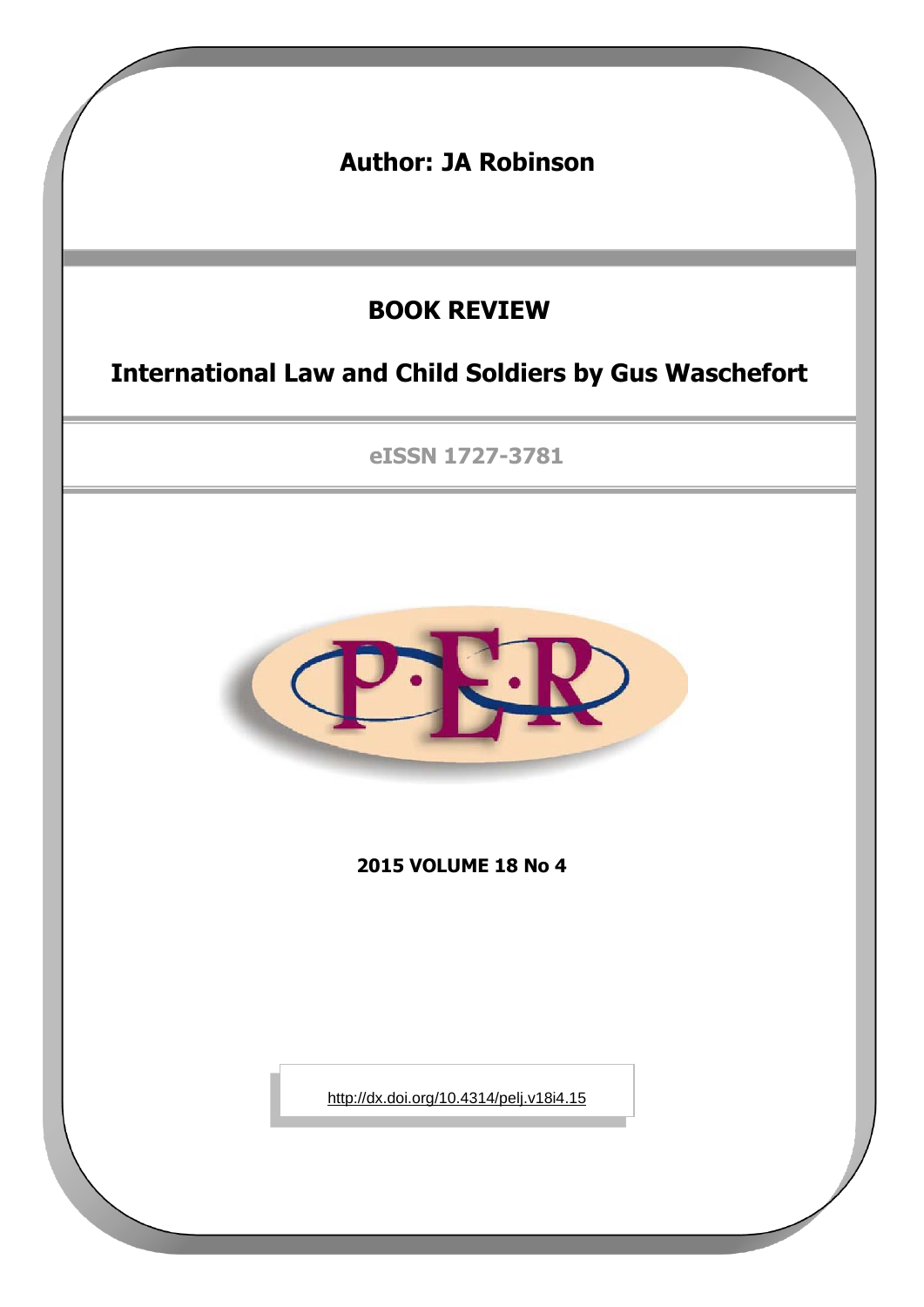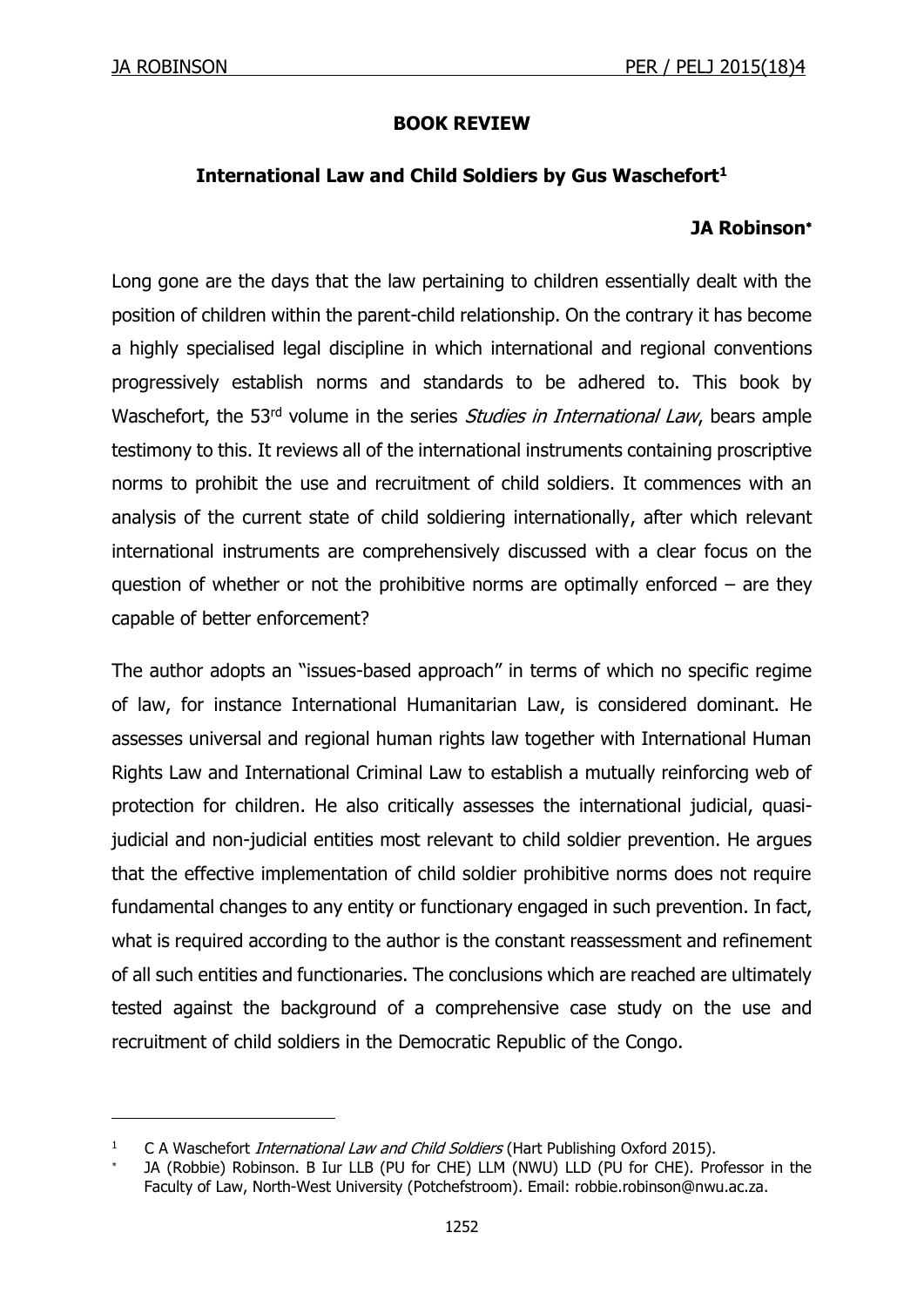-

## **BOOK REVIEW**

## **International Law and Child Soldiers by Gus Waschefort<sup>1</sup>**

## **JA Robinson**

Long gone are the days that the law pertaining to children essentially dealt with the position of children within the parent-child relationship. On the contrary it has become a highly specialised legal discipline in which international and regional conventions progressively establish norms and standards to be adhered to. This book by Waschefort, the 53<sup>rd</sup> volume in the series *Studies in International Law*, bears ample testimony to this. It reviews all of the international instruments containing proscriptive norms to prohibit the use and recruitment of child soldiers. It commences with an analysis of the current state of child soldiering internationally, after which relevant international instruments are comprehensively discussed with a clear focus on the question of whether or not the prohibitive norms are optimally enforced  $-$  are they capable of better enforcement?

The author adopts an "issues-based approach" in terms of which no specific regime of law, for instance International Humanitarian Law, is considered dominant. He assesses universal and regional human rights law together with International Human Rights Law and International Criminal Law to establish a mutually reinforcing web of protection for children. He also critically assesses the international judicial, quasijudicial and non-judicial entities most relevant to child soldier prevention. He argues that the effective implementation of child soldier prohibitive norms does not require fundamental changes to any entity or functionary engaged in such prevention. In fact, what is required according to the author is the constant reassessment and refinement of all such entities and functionaries. The conclusions which are reached are ultimately tested against the background of a comprehensive case study on the use and recruitment of child soldiers in the Democratic Republic of the Congo.

<sup>&</sup>lt;sup>1</sup> C A Waschefort *International Law and Child Soldiers* (Hart Publishing Oxford 2015).

<sup>\*</sup> JA (Robbie) Robinson. B Iur LLB (PU for CHE) LLM (NWU) LLD (PU for CHE). Professor in the Faculty of Law, North-West University (Potchefstroom). Email: robbie.robinson@nwu.ac.za.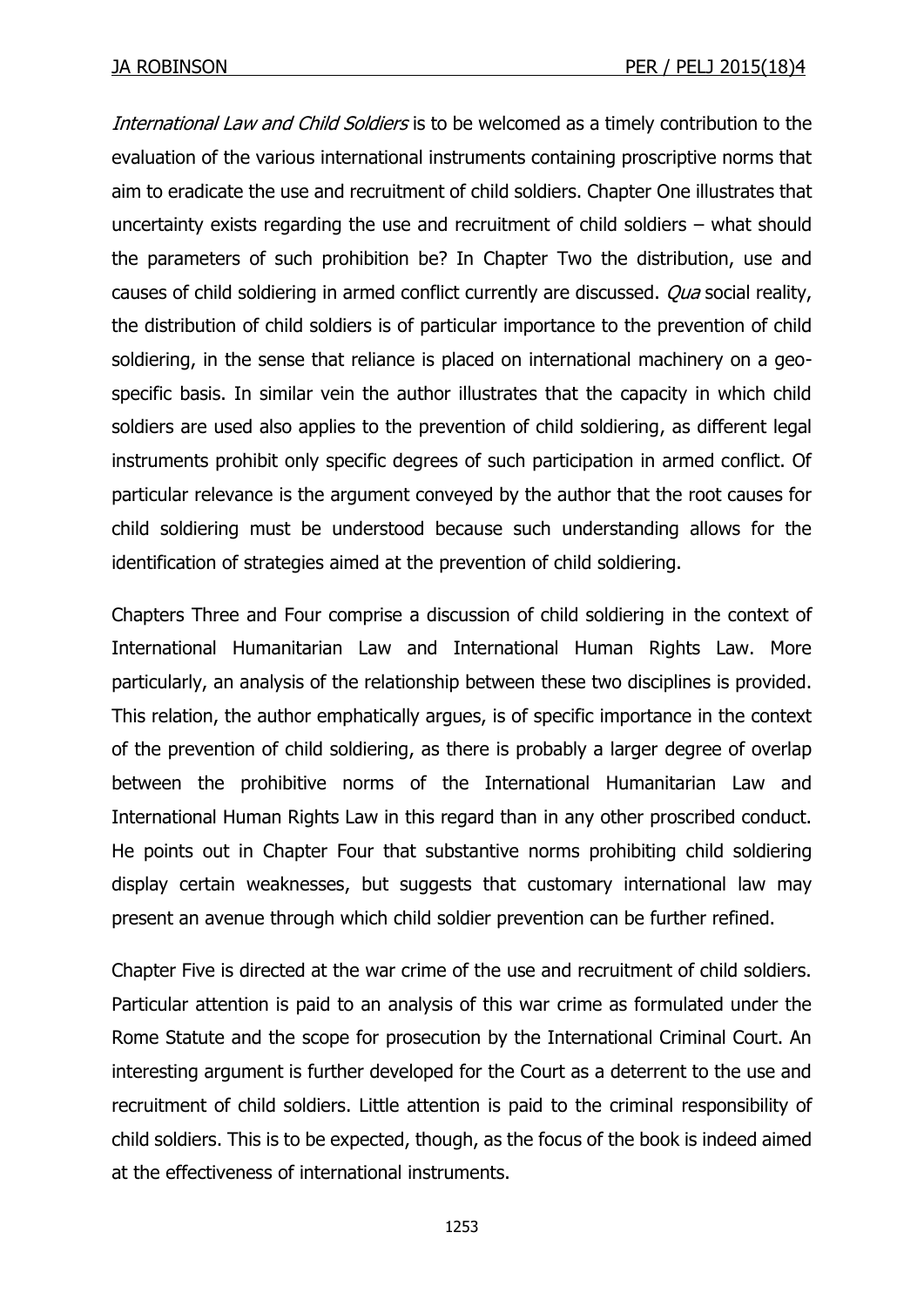International Law and Child Soldiers is to be welcomed as a timely contribution to the evaluation of the various international instruments containing proscriptive norms that aim to eradicate the use and recruitment of child soldiers. Chapter One illustrates that uncertainty exists regarding the use and recruitment of child soldiers – what should the parameters of such prohibition be? In Chapter Two the distribution, use and causes of child soldiering in armed conflict currently are discussed. Qua social reality, the distribution of child soldiers is of particular importance to the prevention of child soldiering, in the sense that reliance is placed on international machinery on a geospecific basis. In similar vein the author illustrates that the capacity in which child soldiers are used also applies to the prevention of child soldiering, as different legal instruments prohibit only specific degrees of such participation in armed conflict. Of particular relevance is the argument conveyed by the author that the root causes for child soldiering must be understood because such understanding allows for the identification of strategies aimed at the prevention of child soldiering.

Chapters Three and Four comprise a discussion of child soldiering in the context of International Humanitarian Law and International Human Rights Law. More particularly, an analysis of the relationship between these two disciplines is provided. This relation, the author emphatically argues, is of specific importance in the context of the prevention of child soldiering, as there is probably a larger degree of overlap between the prohibitive norms of the International Humanitarian Law and International Human Rights Law in this regard than in any other proscribed conduct. He points out in Chapter Four that substantive norms prohibiting child soldiering display certain weaknesses, but suggests that customary international law may present an avenue through which child soldier prevention can be further refined.

Chapter Five is directed at the war crime of the use and recruitment of child soldiers. Particular attention is paid to an analysis of this war crime as formulated under the Rome Statute and the scope for prosecution by the International Criminal Court. An interesting argument is further developed for the Court as a deterrent to the use and recruitment of child soldiers. Little attention is paid to the criminal responsibility of child soldiers. This is to be expected, though, as the focus of the book is indeed aimed at the effectiveness of international instruments.

1253